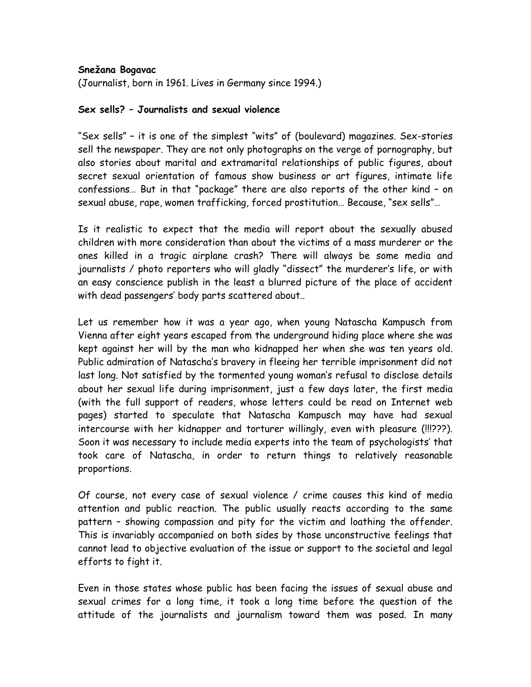## **Snežana Bogavac**

(Journalist, born in 1961. Lives in Germany since 1994.)

## **Sex sells? – Journalists and sexual violence**

"Sex sells" – it is one of the simplest "wits" of (boulevard) magazines. Sex-stories sell the newspaper. They are not only photographs on the verge of pornography, but also stories about marital and extramarital relationships of public figures, about secret sexual orientation of famous show business or art figures, intimate life confessions… But in that "package" there are also reports of the other kind – on sexual abuse, rape, women trafficking, forced prostitution… Because, "sex sells"…

Is it realistic to expect that the media will report about the sexually abused children with more consideration than about the victims of a mass murderer or the ones killed in a tragic airplane crash? There will always be some media and journalists / photo reporters who will gladly "dissect" the murderer's life, or with an easy conscience publish in the least a blurred picture of the place of accident with dead passengers' body parts scattered about..

Let us remember how it was a year ago, when young Natascha Kampusch from Vienna after eight years escaped from the underground hiding place where she was kept against her will by the man who kidnapped her when she was ten years old. Public admiration of Natascha's bravery in fleeing her terrible imprisonment did not last long. Not satisfied by the tormented young woman's refusal to disclose details about her sexual life during imprisonment, just a few days later, the first media (with the full support of readers, whose letters could be read on Internet web pages) started to speculate that Natascha Kampusch may have had sexual intercourse with her kidnapper and torturer willingly, even with pleasure (!!!???). Soon it was necessary to include media experts into the team of psychologists' that took care of Natascha, in order to return things to relatively reasonable proportions.

Of course, not every case of sexual violence / crime causes this kind of media attention and public reaction. The public usually reacts according to the same pattern – showing compassion and pity for the victim and loathing the offender. This is invariably accompanied on both sides by those unconstructive feelings that cannot lead to objective evaluation of the issue or support to the societal and legal efforts to fight it.

Even in those states whose public has been facing the issues of sexual abuse and sexual crimes for a long time, it took a long time before the question of the attitude of the journalists and journalism toward them was posed. In many